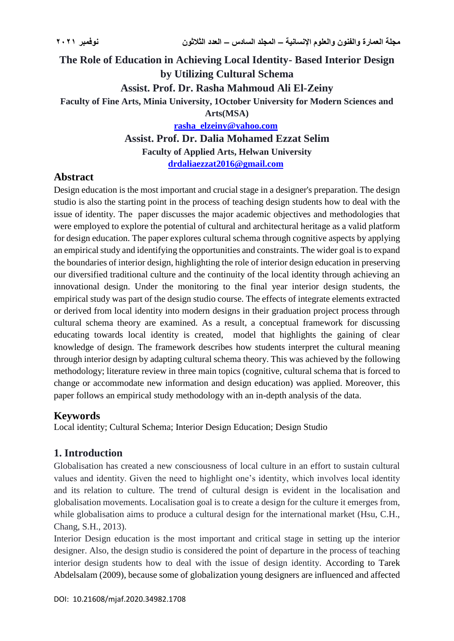# **The Role of Education in Achieving Local Identity- Based Interior Design by Utilizing Cultural Schema Assist. Prof. Dr. Rasha Mahmoud Ali El-Zeiny Faculty of Fine Arts, Minia University, 1October University for Modern Sciences and Arts(MSA)**

**[rasha\\_elzeiny@yahoo.com](mailto:rasha_elzeiny@yahoo.com) Assist. Prof. Dr. Dalia Mohamed Ezzat Selim Faculty of Applied Arts, Helwan University [drdaliaezzat2016@gmail.com](mailto:drdaliaezzat2016@gmail.com)**

## **Abstract**

Design education is the most important and crucial stage in a designer's preparation. The design studio is also the starting point in the process of teaching design students how to deal with the issue of identity. The paper discusses the major academic objectives and methodologies that were employed to explore the potential of cultural and architectural heritage as a valid platform for design education. The paper explores cultural schema through cognitive aspects by applying an empirical study and identifying the opportunities and constraints. The wider goal is to expand the boundaries of interior design, highlighting the role of interior design education in preserving our diversified traditional culture and the continuity of the local identity through achieving an innovational design. Under the monitoring to the final year interior design students, the empirical study was part of the design studio course. The effects of integrate elements extracted or derived from local identity into modern designs in their graduation project process through cultural schema theory are examined. As a result, a conceptual framework for discussing educating towards local identity is created, model that highlights the gaining of clear knowledge of design. The framework describes how students interpret the cultural meaning through interior design by adapting cultural schema theory. This was achieved by the following methodology; literature review in three main topics (cognitive, cultural schema that is forced to change or accommodate new information and design education) was applied. Moreover, this paper follows an empirical study methodology with an in-depth analysis of the data.

## **Keywords**

Local identity; Cultural Schema; Interior Design Education; Design Studio

## **1. Introduction**

Globalisation has created a new consciousness of local culture in an effort to sustain cultural values and identity. Given the need to highlight one's identity, which involves local identity and its relation to culture. The trend of cultural design is evident in the localisation and globalisation movements. Localisation goal is to create a design for the culture it emerges from, while globalisation aims to produce a cultural design for the international market (Hsu, C.H., Chang, S.H., 2013).

Interior Design education is the most important and critical stage in setting up the interior designer. Also, the design studio is considered the point of departure in the process of teaching interior design students how to deal with the issue of design identity. According to Tarek Abdelsalam (2009), because some of globalization young designers are influenced and affected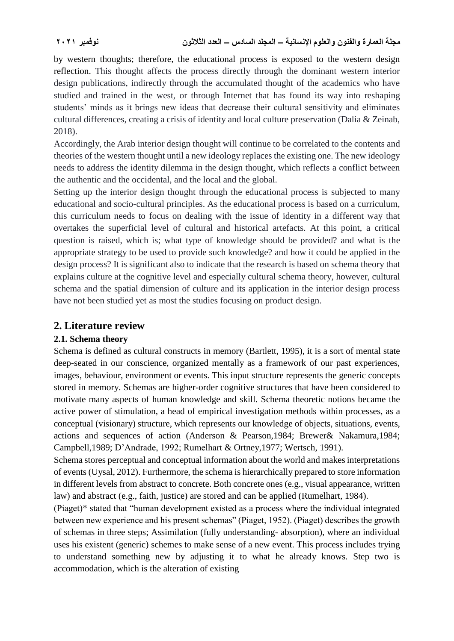by western thoughts; therefore, the educational process is exposed to the western design reflection. This thought affects the process directly through the dominant western interior design publications, indirectly through the accumulated thought of the academics who have studied and trained in the west, or through Internet that has found its way into reshaping students' minds as it brings new ideas that decrease their cultural sensitivity and eliminates cultural differences, creating a crisis of identity and local culture preservation (Dalia & Zeinab, 2018).

Accordingly, the Arab interior design thought will continue to be correlated to the contents and theories of the western thought until a new ideology replaces the existing one. The new ideology needs to address the identity dilemma in the design thought, which reflects a conflict between the authentic and the occidental, and the local and the global.

Setting up the interior design thought through the educational process is subjected to many educational and socio-cultural principles. As the educational process is based on a curriculum, this curriculum needs to focus on dealing with the issue of identity in a different way that overtakes the superficial level of cultural and historical artefacts. At this point, a critical question is raised, which is; what type of knowledge should be provided? and what is the appropriate strategy to be used to provide such knowledge? and how it could be applied in the design process? It is significant also to indicate that the research is based on schema theory that explains culture at the cognitive level and especially cultural schema theory, however, cultural schema and the spatial dimension of culture and its application in the interior design process have not been studied yet as most the studies focusing on product design.

## **2. Literature review**

## **2.1. Schema theory**

Schema is defined as cultural constructs in memory (Bartlett, 1995), it is a sort of mental state deep-seated in our conscience, organized mentally as a framework of our past experiences, images, behaviour, environment or events. This input structure represents the generic concepts stored in memory. Schemas are higher-order cognitive structures that have been considered to motivate many aspects of human knowledge and skill. Schema theoretic notions became the active power of stimulation, a head of empirical investigation methods within processes, as a conceptual (visionary) structure, which represents our knowledge of objects, situations, events, actions and sequences of action (Anderson & Pearson,1984; Brewer& Nakamura,1984; Campbell,1989; D'Andrade, 1992; Rumelhart & Ortney,1977; Wertsch, 1991).

Schema stores perceptual and conceptual information about the world and makes interpretations of events (Uysal, 2012). Furthermore, the schema is hierarchically prepared to store information in different levels from abstract to concrete. Both concrete ones (e.g., visual appearance, written law) and abstract (e.g., faith, justice) are stored and can be applied (Rumelhart, 1984).

(Piaget)\* stated that "human development existed as a process where the individual integrated between new experience and his present schemas" (Piaget, 1952). (Piaget) describes the growth of schemas in three steps; Assimilation (fully understanding- absorption), where an individual uses his existent (generic) schemes to make sense of a new event. This process includes trying to understand something new by adjusting it to what he already knows. Step two is accommodation, which is the alteration of existing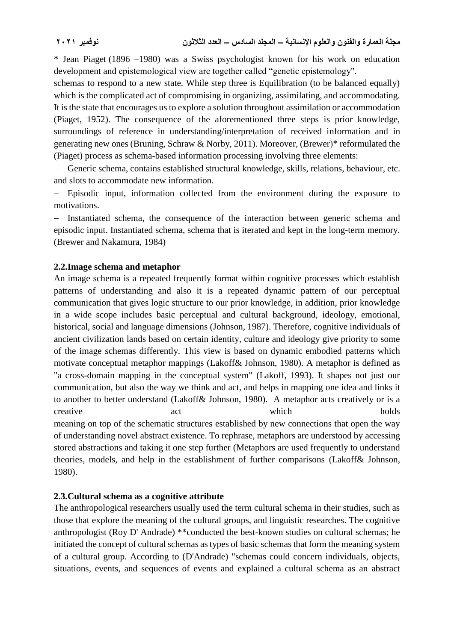\* Jean Piaget (1896 –1980) was a Swiss psychologist known for his work on education development and epistemological view are together called "genetic epistemology".

schemas to respond to a new state. While step three is Equilibration (to be balanced equally) which is the complicated act of compromising in organizing, assimilating, and accommodating. It is the state that encourages us to explore a solution throughout assimilation or accommodation (Piaget, 1952). The consequence of the aforementioned three steps is prior knowledge, surroundings of reference in understanding/interpretation of received information and in generating new ones (Bruning, Schraw & Norby, 2011). Moreover, (Brewer)\* reformulated the (Piaget) process as schema-based information processing involving three elements:

 Generic schema, contains established structural knowledge, skills, relations, behaviour, etc. and slots to accommodate new information.

- Episodic input, information collected from the environment during the exposure to motivations.

- Instantiated schema, the consequence of the interaction between generic schema and episodic input. Instantiated schema, schema that is iterated and kept in the long-term memory. (Brewer and Nakamura, 1984)

## **2.2.Image schema and metaphor**

An image schema is a repeated frequently format within cognitive processes which establish patterns of understanding and also it is a repeated dynamic pattern of our perceptual communication that gives logic structure to our prior knowledge, in addition, prior knowledge in a wide scope includes basic perceptual and cultural background, ideology, emotional, historical, social and language dimensions (Johnson, 1987). Therefore, cognitive individuals of ancient civilization lands based on certain identity, culture and ideology give priority to some of the image schemas differently. This view is based on dynamic embodied patterns which motivate conceptual metaphor mappings (Lakoff& Johnson, 1980). A metaphor is defined as "a cross-domain mapping in the conceptual system" (Lakoff, 1993). It shapes not just our communication, but also the way we think and act, and helps in mapping one idea and links it to another to better understand (Lakoff& Johnson, 1980). A metaphor acts creatively or is a creative act act which holds meaning on top of the schematic structures established by new connections that open the way of understanding novel abstract existence. To rephrase, metaphors are understood by accessing stored abstractions and taking it one step further (Metaphors are used frequently to understand theories, models, and help in the establishment of further comparisons (Lakoff& Johnson, 1980).

#### **2.3.Cultural schema as a cognitive attribute**

The anthropological researchers usually used the term cultural schema in their studies, such as those that explore the meaning of the cultural groups, and linguistic researches. The cognitive anthropologist (Roy D' Andrade) \*\*conducted the best-known studies on cultural schemas; he initiated the concept of cultural schemas as types of basic schemas that form the meaning system of a cultural group. According to (D'Andrade) "schemas could concern individuals, objects, situations, events, and sequences of events and explained a cultural schema as an abstract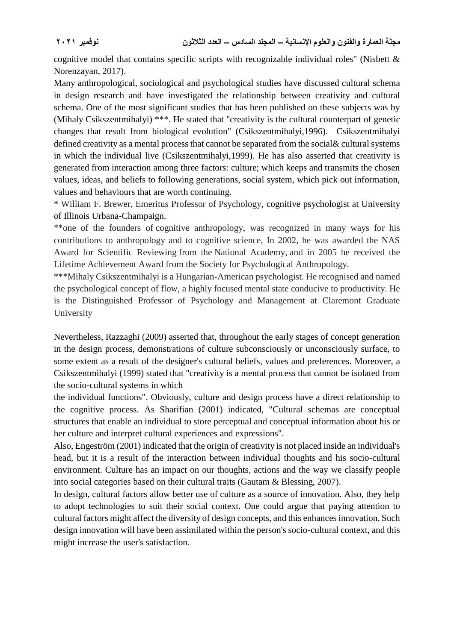cognitive model that contains specific scripts with recognizable individual roles" (Nisbett & Norenzayan, 2017).

Many anthropological, sociological and psychological studies have discussed cultural schema in design research and have investigated the relationship between creativity and cultural schema. One of the most significant studies that has been published on these subjects was by (Mihaly Csikszentmihalyi) \*\*\*. He stated that "creativity is the cultural counterpart of genetic changes that result from biological evolution" (Csikszentmihalyi,1996). Csikszentmihalyi defined creativity as a mental process that cannot be separated from the social& cultural systems in which the individual live (Csikszentmihalyi,1999). He has also asserted that creativity is generated from interaction among three factors: culture; which keeps and transmits the chosen values, ideas, and beliefs to following generations, social system, which pick out information, values and behaviours that are worth continuing.

\* William F. Brewer, Emeritus Professor of Psychology, cognitive psychologist at [University](https://scholar.google.com/citations?view_op=view_org&hl=en&org=4497256714731484767)  [of Illinois Urbana-Champaign.](https://scholar.google.com/citations?view_op=view_org&hl=en&org=4497256714731484767)

\*\*one of the founders of cognitive anthropology, was recognized in many ways for his contributions to anthropology and to cognitive science, In 2002, he was awarded the NAS Award for Scientific Reviewing from the National Academy, and in 2005 he received the Lifetime Achievement Award from the Society for Psychological Anthropology.

\*\*\*Mihaly Csikszentmihalyi is a Hungarian-American psychologist. He recognised and named the psychological concept of flow, a highly focused mental state conducive to productivity. He is the Distinguished Professor of Psychology and Management at Claremont Graduate University

Nevertheless, Razzaghi (2009) asserted that, throughout the early stages of concept generation in the design process, demonstrations of culture subconsciously or unconsciously surface, to some extent as a result of the designer's cultural beliefs, values and preferences. Moreover, a Csikszentmihalyi (1999) stated that "creativity is a mental process that cannot be isolated from the socio-cultural systems in which

the individual functions". Obviously, culture and design process have a direct relationship to the cognitive process. As Sharifian (2001) indicated, "Cultural schemas are conceptual structures that enable an individual to store perceptual and conceptual information about his or her culture and interpret cultural experiences and expressions".

Also, Engeström (2001) indicated that the origin of creativity is not placed inside an individual's head, but it is a result of the interaction between individual thoughts and his socio-cultural environment. Culture has an impact on our thoughts, actions and the way we classify people into social categories based on their cultural traits (Gautam & Blessing, 2007).

In design, cultural factors allow better use of culture as a source of innovation. Also, they help to adopt technologies to suit their social context. One could argue that paying attention to cultural factors might affect the diversity of design concepts, and this enhances innovation. Such design innovation will have been assimilated within the person's socio-cultural context, and this might increase the user's satisfaction.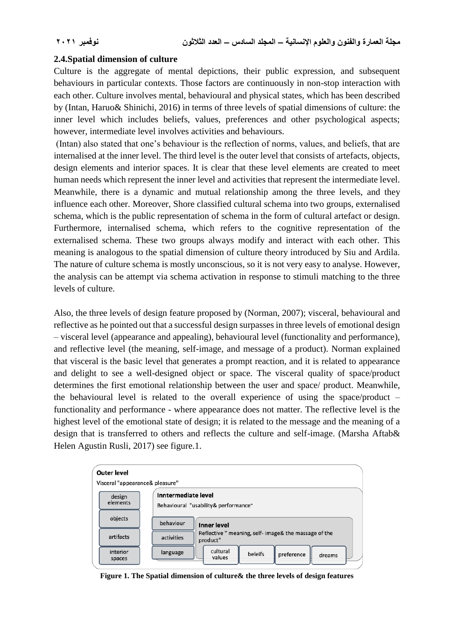## **2.4.Spatial dimension of culture**

Culture is the aggregate of mental depictions, their public expression, and subsequent behaviours in particular contexts. Those factors are continuously in non-stop interaction with each other. Culture involves mental, behavioural and physical states, which has been described by (Intan, Haruo& Shinichi, 2016) in terms of three levels of spatial dimensions of culture: the inner level which includes beliefs, values, preferences and other psychological aspects; however, intermediate level involves activities and behaviours.

(Intan) also stated that one's behaviour is the reflection of norms, values, and beliefs, that are internalised at the inner level. The third level is the outer level that consists of artefacts, objects, design elements and interior spaces. It is clear that these level elements are created to meet human needs which represent the inner level and activities that represent the intermediate level. Meanwhile, there is a dynamic and mutual relationship among the three levels, and they influence each other. Moreover, Shore classified cultural schema into two groups, externalised schema, which is the public representation of schema in the form of cultural artefact or design. Furthermore, internalised schema, which refers to the cognitive representation of the externalised schema. These two groups always modify and interact with each other. This meaning is analogous to the spatial dimension of culture theory introduced by Siu and Ardila. The nature of culture schema is mostly unconscious, so it is not very easy to analyse. However, the analysis can be attempt via schema activation in response to stimuli matching to the three levels of culture.

Also, the three levels of design feature proposed by (Norman, 2007); visceral, behavioural and reflective as he pointed out that a successful design surpasses in three levels of emotional design – visceral level (appearance and appealing), behavioural level (functionality and performance), and reflective level (the meaning, self-image, and message of a product). Norman explained that visceral is the basic level that generates a prompt reaction, and it is related to appearance and delight to see a well-designed object or space. The visceral quality of space/product determines the first emotional relationship between the user and space/ product. Meanwhile, the behavioural level is related to the overall experience of using the space/product – functionality and performance - where appearance does not matter. The reflective level is the highest level of the emotional state of design; it is related to the message and the meaning of a design that is transferred to others and reflects the culture and self-image. (Marsha Aftab& Helen Agustin Rusli, 2017) see figure.1.



**Figure 1. The Spatial dimension of culture& the three levels of design features**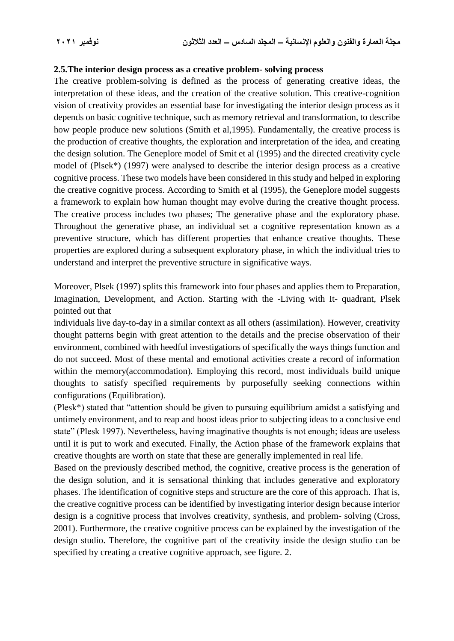#### **2.5.The interior design process as a creative problem- solving process**

The creative problem-solving is defined as the process of generating creative ideas, the interpretation of these ideas, and the creation of the creative solution. This creative-cognition vision of creativity provides an essential base for investigating the interior design process as it depends on basic cognitive technique, such as memory retrieval and transformation, to describe how people produce new solutions (Smith et al,1995). Fundamentally, the creative process is the production of creative thoughts, the exploration and interpretation of the idea, and creating the design solution. The Geneplore model of Smit et al (1995) and the directed creativity cycle model of (Plsek\*) (1997) were analysed to describe the interior design process as a creative cognitive process. These two models have been considered in this study and helped in exploring the creative cognitive process. According to Smith et al (1995), the Geneplore model suggests a framework to explain how human thought may evolve during the creative thought process. The creative process includes two phases; The generative phase and the exploratory phase. Throughout the generative phase, an individual set a cognitive representation known as a preventive structure, which has different properties that enhance creative thoughts. These properties are explored during a subsequent exploratory phase, in which the individual tries to understand and interpret the preventive structure in significative ways.

Moreover, Plsek (1997) splits this framework into four phases and applies them to Preparation, Imagination, Development, and Action. Starting with the -Living with It- quadrant, Plsek pointed out that

individuals live day-to-day in a similar context as all others (assimilation). However, creativity thought patterns begin with great attention to the details and the precise observation of their environment, combined with heedful investigations of specifically the ways things function and do not succeed. Most of these mental and emotional activities create a record of information within the memory(accommodation). Employing this record, most individuals build unique thoughts to satisfy specified requirements by purposefully seeking connections within configurations (Equilibration).

(Plesk\*) stated that "attention should be given to pursuing equilibrium amidst a satisfying and untimely environment, and to reap and boost ideas prior to subjecting ideas to a conclusive end state" (Plesk 1997). Nevertheless, having imaginative thoughts is not enough; ideas are useless until it is put to work and executed. Finally, the Action phase of the framework explains that creative thoughts are worth on state that these are generally implemented in real life.

Based on the previously described method, the cognitive, creative process is the generation of the design solution, and it is sensational thinking that includes generative and exploratory phases. The identification of cognitive steps and structure are the core of this approach. That is, the creative cognitive process can be identified by investigating interior design because interior design is a cognitive process that involves creativity, synthesis, and problem- solving (Cross, 2001). Furthermore, the creative cognitive process can be explained by the investigation of the design studio. Therefore, the cognitive part of the creativity inside the design studio can be specified by creating a creative cognitive approach, see figure. 2.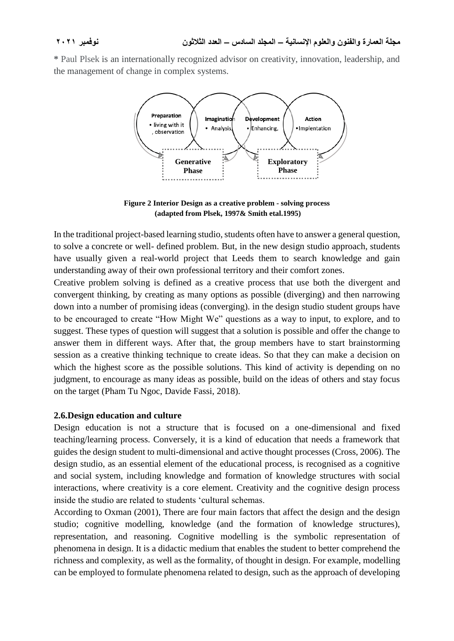**\*** Paul Plsek is an internationally recognized advisor on creativity, innovation, leadership, and the management of change in complex systems.



**Figure 2 Interior Design as a creative problem - solving process (adapted from Plsek, 1997& Smith etal.1995)**

In the traditional project-based learning studio, students often have to answer a general question, to solve a concrete or well- defined problem. But, in the new design studio approach, students have usually given a real-world project that Leeds them to search knowledge and gain understanding away of their own professional territory and their comfort zones.

Creative problem solving is defined as a creative process that use both the divergent and convergent thinking, by creating as many options as possible (diverging) and then narrowing down into a number of promising ideas (converging). in the design studio student groups have to be encouraged to create "How Might We" questions as a way to input, to explore, and to suggest. These types of question will suggest that a solution is possible and offer the change to answer them in different ways. After that, the group members have to start brainstorming session as a creative thinking technique to create ideas. So that they can make a decision on which the highest score as the possible solutions. This kind of activity is depending on no judgment, to encourage as many ideas as possible, build on the ideas of others and stay focus on the target (Pham Tu Ngoc, Davide Fassi, 2018).

## **2.6.Design education and culture**

Design education is not a structure that is focused on a one-dimensional and fixed teaching/learning process. Conversely, it is a kind of education that needs a framework that guides the design student to multi-dimensional and active thought processes (Cross, 2006). The design studio, as an essential element of the educational process, is recognised as a cognitive and social system, including knowledge and formation of knowledge structures with social interactions, where creativity is a core element. Creativity and the cognitive design process inside the studio are related to students 'cultural schemas.

According to Oxman (2001), There are four main factors that affect the design and the design studio; cognitive modelling, knowledge (and the formation of knowledge structures), representation, and reasoning. Cognitive modelling is the symbolic representation of phenomena in design. It is a didactic medium that enables the student to better comprehend the richness and complexity, as well as the formality, of thought in design. For example, modelling can be employed to formulate phenomena related to design, such as the approach of developing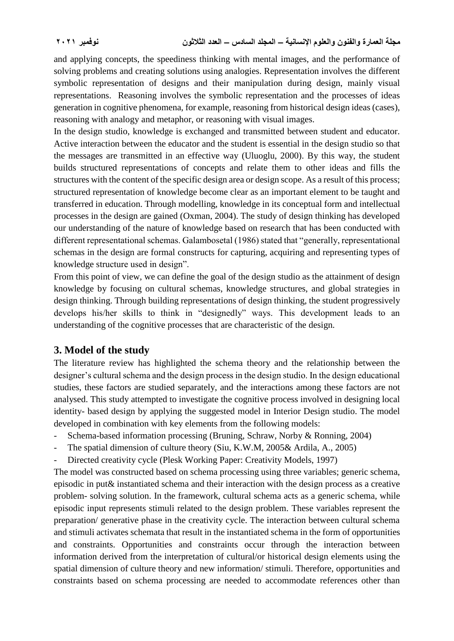and applying concepts, the speediness thinking with mental images, and the performance of solving problems and creating solutions using analogies. Representation involves the different symbolic representation of designs and their manipulation during design, mainly visual representations. Reasoning involves the symbolic representation and the processes of ideas generation in cognitive phenomena, for example, reasoning from historical design ideas (cases), reasoning with analogy and metaphor, or reasoning with visual images.

In the design studio, knowledge is exchanged and transmitted between student and educator. Active interaction between the educator and the student is essential in the design studio so that the messages are transmitted in an effective way (Uluoglu, 2000). By this way, the student builds structured representations of concepts and relate them to other ideas and fills the structures with the content of the specific design area or design scope. As a result of this process; structured representation of knowledge become clear as an important element to be taught and transferred in education. Through modelling, knowledge in its conceptual form and intellectual processes in the design are gained (Oxman, 2004). The study of design thinking has developed our understanding of the nature of knowledge based on research that has been conducted with different representational schemas. Galambosetal (1986) stated that "generally, representational schemas in the design are formal constructs for capturing, acquiring and representing types of knowledge structure used in design".

From this point of view, we can define the goal of the design studio as the attainment of design knowledge by focusing on cultural schemas, knowledge structures, and global strategies in design thinking. Through building representations of design thinking, the student progressively develops his/her skills to think in "designedly" ways. This development leads to an understanding of the cognitive processes that are characteristic of the design.

## **3. Model of the study**

The literature review has highlighted the schema theory and the relationship between the designer's cultural schema and the design process in the design studio. In the design educational studies, these factors are studied separately, and the interactions among these factors are not analysed. This study attempted to investigate the cognitive process involved in designing local identity- based design by applying the suggested model in Interior Design studio. The model developed in combination with key elements from the following models:

- Schema-based information processing (Bruning, Schraw, Norby & Ronning, 2004)
- The spatial dimension of culture theory (Siu, K.W.M, 2005& Ardila, A., 2005)
- Directed creativity cycle (Plesk Working Paper: Creativity Models, 1997)

The model was constructed based on schema processing using three variables; generic schema, episodic in put& instantiated schema and their interaction with the design process as a creative problem- solving solution. In the framework, cultural schema acts as a generic schema, while episodic input represents stimuli related to the design problem. These variables represent the preparation/ generative phase in the creativity cycle. The interaction between cultural schema and stimuli activates schemata that result in the instantiated schema in the form of opportunities and constraints. Opportunities and constraints occur through the interaction between information derived from the interpretation of cultural/or historical design elements using the spatial dimension of culture theory and new information/ stimuli. Therefore, opportunities and constraints based on schema processing are needed to accommodate references other than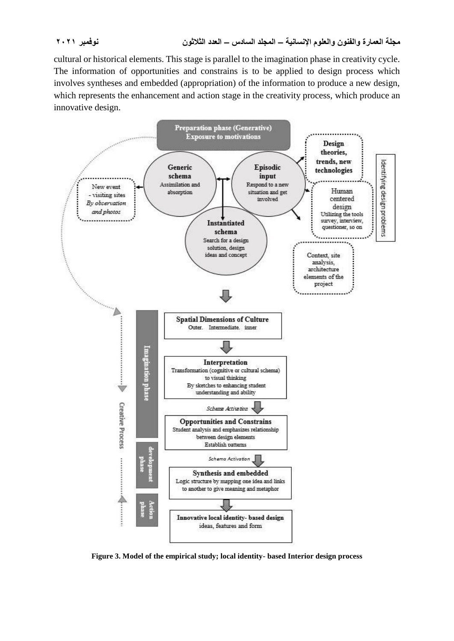cultural or historical elements. This stage is parallel to the imagination phase in creativity cycle. The information of opportunities and constrains is to be applied to design process which involves syntheses and embedded (appropriation) of the information to produce a new design, which represents the enhancement and action stage in the creativity process, which produce an innovative design.



**Figure 3. Model of the empirical study; local identity- based Interior design process**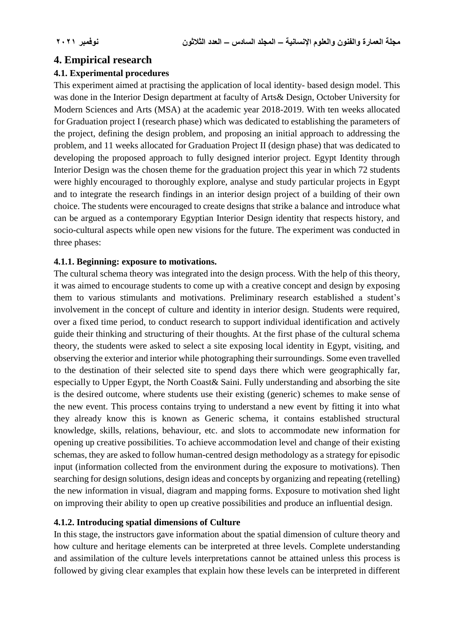# **4. Empirical research**

## **4.1. Experimental procedures**

This experiment aimed at practising the application of local identity- based design model. This was done in the Interior Design department at faculty of Arts& Design, October University for Modern Sciences and Arts (MSA) at the academic year 2018-2019. With ten weeks allocated for Graduation project I (research phase) which was dedicated to establishing the parameters of the project, defining the design problem, and proposing an initial approach to addressing the problem, and 11 weeks allocated for Graduation Project II (design phase) that was dedicated to developing the proposed approach to fully designed interior project. Egypt Identity through Interior Design was the chosen theme for the graduation project this year in which 72 students were highly encouraged to thoroughly explore, analyse and study particular projects in Egypt and to integrate the research findings in an interior design project of a building of their own choice. The students were encouraged to create designs that strike a balance and introduce what can be argued as a contemporary Egyptian Interior Design identity that respects history, and socio-cultural aspects while open new visions for the future. The experiment was conducted in three phases:

## **4.1.1. Beginning: exposure to motivations.**

The cultural schema theory was integrated into the design process. With the help of this theory, it was aimed to encourage students to come up with a creative concept and design by exposing them to various stimulants and motivations. Preliminary research established a student's involvement in the concept of culture and identity in interior design. Students were required, over a fixed time period, to conduct research to support individual identification and actively guide their thinking and structuring of their thoughts. At the first phase of the cultural schema theory, the students were asked to select a site exposing local identity in Egypt, visiting, and observing the exterior and interior while photographing their surroundings. Some even travelled to the destination of their selected site to spend days there which were geographically far, especially to Upper Egypt, the North Coast& Saini. Fully understanding and absorbing the site is the desired outcome, where students use their existing (generic) schemes to make sense of the new event. This process contains trying to understand a new event by fitting it into what they already know this is known as Generic schema, it contains established structural knowledge, skills, relations, behaviour, etc. and slots to accommodate new information for opening up creative possibilities. To achieve accommodation level and change of their existing schemas, they are asked to follow human-centred design methodology as a strategy for episodic input (information collected from the environment during the exposure to motivations). Then searching for design solutions, design ideas and concepts by organizing and repeating (retelling) the new information in visual, diagram and mapping forms. Exposure to motivation shed light on improving their ability to open up creative possibilities and produce an influential design.

## **4.1.2. Introducing spatial dimensions of Culture**

In this stage, the instructors gave information about the spatial dimension of culture theory and how culture and heritage elements can be interpreted at three levels. Complete understanding and assimilation of the culture levels interpretations cannot be attained unless this process is followed by giving clear examples that explain how these levels can be interpreted in different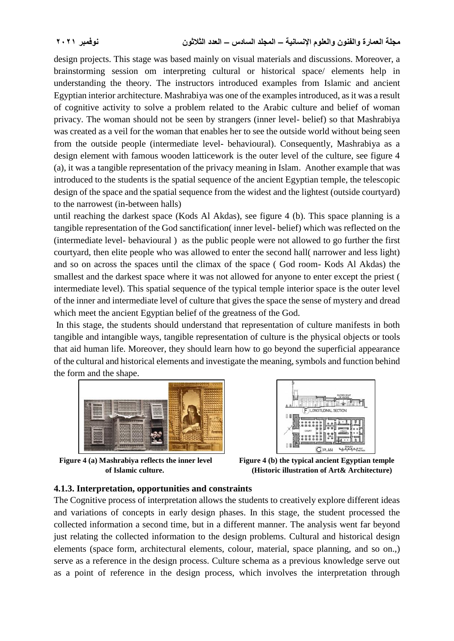design projects. This stage was based mainly on visual materials and discussions. Moreover, a brainstorming session om interpreting cultural or historical space/ elements help in understanding the theory. The instructors introduced examples from Islamic and ancient Egyptian interior architecture. Mashrabiya was one of the examples introduced, as it was a result of cognitive activity to solve a problem related to the Arabic culture and belief of woman privacy. The woman should not be seen by strangers (inner level- belief) so that Mashrabiya was created as a veil for the woman that enables her to see the outside world without being seen from the outside people (intermediate level- behavioural). Consequently, Mashrabiya as a design element with famous wooden latticework is the outer level of the culture, see figure 4 (a), it was a tangible representation of the privacy meaning in Islam. Another example that was introduced to the students is the spatial sequence of the ancient Egyptian temple, the telescopic design of the space and the spatial sequence from the widest and the lightest (outside courtyard) to the narrowest (in-between halls)

until reaching the darkest space (Kods Al Akdas), see figure 4 (b). This space planning is a tangible representation of the God sanctification( inner level- belief) which was reflected on the (intermediate level- behavioural ) as the public people were not allowed to go further the first courtyard, then elite people who was allowed to enter the second hall( narrower and less light) and so on across the spaces until the climax of the space ( God room- Kods Al Akdas) the smallest and the darkest space where it was not allowed for anyone to enter except the priest ( intermediate level). This spatial sequence of the typical temple interior space is the outer level of the inner and intermediate level of culture that gives the space the sense of mystery and dread which meet the ancient Egyptian belief of the greatness of the God.

In this stage, the students should understand that representation of culture manifests in both tangible and intangible ways, tangible representation of culture is the physical objects or tools that aid human life. Moreover, they should learn how to go beyond the superficial appearance of the cultural and historical elements and investigate the meaning, symbols and function behind the form and the shape.



Figure 4 (a) Mashrabiya reflects the inner level Figure 4 (b) the typical ancient Egyptian temple



 **of Islamic culture. (Historic illustration of Art& Architecture)**

## **4.1.3. Interpretation, opportunities and constraints**

The Cognitive process of interpretation allows the students to creatively explore different ideas and variations of concepts in early design phases. In this stage, the student processed the collected information a second time, but in a different manner. The analysis went far beyond just relating the collected information to the design problems. Cultural and historical design elements (space form, architectural elements, colour, material, space planning, and so on.,) serve as a reference in the design process. Culture schema as a previous knowledge serve out as a point of reference in the design process, which involves the interpretation through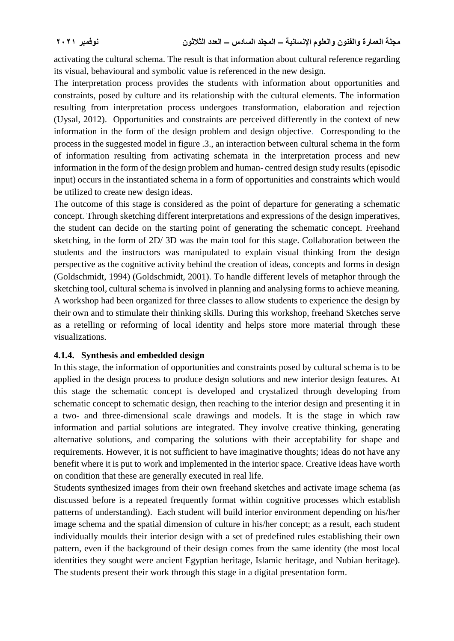activating the cultural schema. The result is that information about cultural reference regarding its visual, behavioural and symbolic value is referenced in the new design.

The interpretation process provides the students with information about opportunities and constraints, posed by culture and its relationship with the cultural elements. The information resulting from interpretation process undergoes transformation, elaboration and rejection (Uysal, 2012). Opportunities and constraints are perceived differently in the context of new information in the form of the design problem and design objective. Corresponding to the process in the suggested model in figure .3., an interaction between cultural schema in the form of information resulting from activating schemata in the interpretation process and new information in the form of the design problem and human- centred design study results (episodic input) occurs in the instantiated schema in a form of opportunities and constraints which would be utilized to create new design ideas.

The outcome of this stage is considered as the point of departure for generating a schematic concept. Through sketching different interpretations and expressions of the design imperatives, the student can decide on the starting point of generating the schematic concept. Freehand sketching, in the form of 2D/ 3D was the main tool for this stage. Collaboration between the students and the instructors was manipulated to explain visual thinking from the design perspective as the cognitive activity behind the creation of ideas, concepts and forms in design (Goldschmidt, 1994) (Goldschmidt, 2001). To handle different levels of metaphor through the sketching tool, cultural schema is involved in planning and analysing forms to achieve meaning. A workshop had been organized for three classes to allow students to experience the design by their own and to stimulate their thinking skills. During this workshop, freehand Sketches serve as a retelling or reforming of local identity and helps store more material through these visualizations.

## **4.1.4. Synthesis and embedded design**

In this stage, the information of opportunities and constraints posed by cultural schema is to be applied in the design process to produce design solutions and new interior design features. At this stage the schematic concept is developed and crystalized through developing from schematic concept to schematic design, then reaching to the interior design and presenting it in a two- and three-dimensional scale drawings and models. It is the stage in which raw information and partial solutions are integrated. They involve creative thinking, generating alternative solutions, and comparing the solutions with their acceptability for shape and requirements. However, it is not sufficient to have imaginative thoughts; ideas do not have any benefit where it is put to work and implemented in the interior space. Creative ideas have worth on condition that these are generally executed in real life.

Students synthesized images from their own freehand sketches and activate image schema (as discussed before is a repeated frequently format within cognitive processes which establish patterns of understanding). Each student will build interior environment depending on his/her image schema and the spatial dimension of culture in his/her concept; as a result, each student individually moulds their interior design with a set of predefined rules establishing their own pattern, even if the background of their design comes from the same identity (the most local identities they sought were ancient Egyptian heritage, Islamic heritage, and Nubian heritage). The students present their work through this stage in a digital presentation form.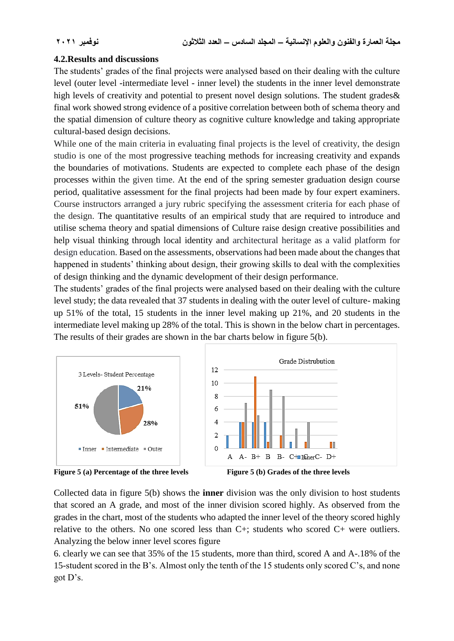## **4.2.Results and discussions**

The students' grades of the final projects were analysed based on their dealing with the culture level (outer level -intermediate level - inner level) the students in the inner level demonstrate high levels of creativity and potential to present novel design solutions. The student grades & final work showed strong evidence of a positive correlation between both of schema theory and the spatial dimension of culture theory as cognitive culture knowledge and taking appropriate cultural-based design decisions.

While one of the main criteria in evaluating final projects is the level of creativity, the design studio is one of the most progressive teaching methods for increasing creativity and expands the boundaries of motivations. Students are expected to complete each phase of the design processes within the given time. At the end of the spring semester graduation design course period, qualitative assessment for the final projects had been made by four expert examiners. Course instructors arranged a jury rubric specifying the assessment criteria for each phase of the design. The quantitative results of an empirical study that are required to introduce and utilise schema theory and spatial dimensions of Culture raise design creative possibilities and help visual thinking through local identity and architectural heritage as a valid platform for design education. Based on the assessments, observations had been made about the changes that happened in students' thinking about design, their growing skills to deal with the complexities of design thinking and the dynamic development of their design performance.

The students' grades of the final projects were analysed based on their dealing with the culture level study; the data revealed that 37 students in dealing with the outer level of culture- making up 51% of the total, 15 students in the inner level making up 21%, and 20 students in the intermediate level making up 28% of the total. This is shown in the below chart in percentages. The results of their grades are shown in the bar charts below in figure 5(b).





Collected data in figure 5(b) shows the **inner** division was the only division to host students that scored an A grade, and most of the inner division scored highly. As observed from the grades in the chart, most of the students who adapted the inner level of the theory scored highly relative to the others. No one scored less than C+; students who scored C+ were outliers. Analyzing the below inner level scores figure

6. clearly we can see that 35% of the 15 students, more than third, scored A and A-.18% of the 15-student scored in the B's. Almost only the tenth of the 15 students only scored C's, and none got D's.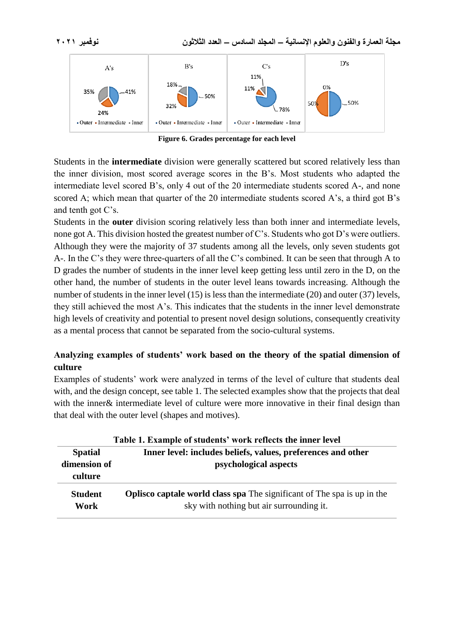

**Figure 6. Grades percentage for each level**

Students in the **intermediate** division were generally scattered but scored relatively less than the inner division, most scored average scores in the B's. Most students who adapted the intermediate level scored B's, only 4 out of the 20 intermediate students scored A-, and none scored A; which mean that quarter of the 20 intermediate students scored A's, a third got B's and tenth got C's.

Students in the **outer** division scoring relatively less than both inner and intermediate levels, none got A. This division hosted the greatest number of C's. Students who got D's were outliers. Although they were the majority of 37 students among all the levels, only seven students got A-. In the C's they were three-quarters of all the C's combined. It can be seen that through A to D grades the number of students in the inner level keep getting less until zero in the D, on the other hand, the number of students in the outer level leans towards increasing. Although the number of students in the inner level (15) is less than the intermediate (20) and outer (37) levels, they still achieved the most A's. This indicates that the students in the inner level demonstrate high levels of creativity and potential to present novel design solutions, consequently creativity as a mental process that cannot be separated from the socio-cultural systems.

## **Analyzing examples of students' work based on the theory of the spatial dimension of culture**

Examples of students' work were analyzed in terms of the level of culture that students deal with, and the design concept, see table 1. The selected examples show that the projects that deal with the inner & intermediate level of culture were more innovative in their final design than that deal with the outer level (shapes and motives).

| Table 1. Example of students' work reflects the inner level |                                                                                                                            |  |
|-------------------------------------------------------------|----------------------------------------------------------------------------------------------------------------------------|--|
| <b>Spatial</b>                                              | Inner level: includes beliefs, values, preferences and other                                                               |  |
| dimension of<br>culture                                     | psychological aspects                                                                                                      |  |
| <b>Student</b><br>Work                                      | <b>Oplisco captale world class spa</b> The significant of The spa is up in the<br>sky with nothing but air surrounding it. |  |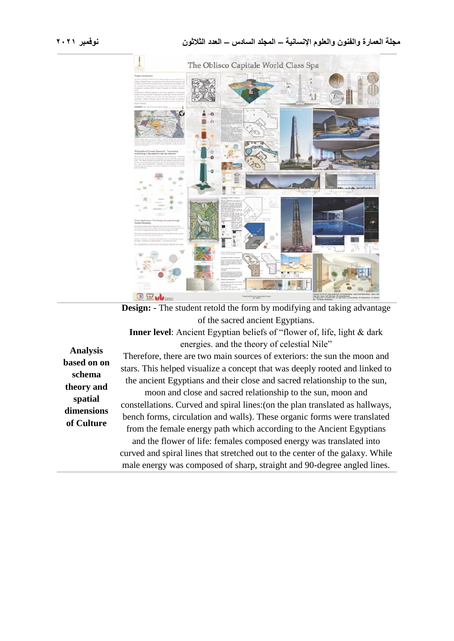

**Design:** - The student retold the form by modifying and taking advantage of the sacred ancient Egyptians.

**Inner level**: Ancient Egyptian beliefs of "flower of, life, light & dark energies. and the theory of celestial Nile"

**Analysis based on on schema theory and spatial dimensions of Culture**

Therefore, there are two main sources of exteriors: the sun the moon and stars. This helped visualize a concept that was deeply rooted and linked to the ancient Egyptians and their close and sacred relationship to the sun,

moon and close and sacred relationship to the sun, moon and constellations. Curved and spiral lines:(on the plan translated as hallways, bench forms, circulation and walls). These organic forms were translated from the female energy path which according to the Ancient Egyptians and the flower of life: females composed energy was translated into curved and spiral lines that stretched out to the center of the galaxy. While male energy was composed of sharp, straight and 90-degree angled lines.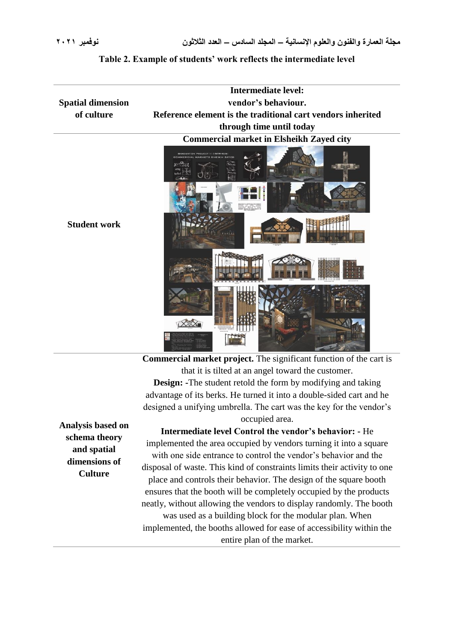|                          | <b>Intermediate level:</b>                                                                       |
|--------------------------|--------------------------------------------------------------------------------------------------|
| <b>Spatial dimension</b> | vendor's behaviour.                                                                              |
| of culture               | Reference element is the traditional cart vendors inherited                                      |
|                          | through time until today                                                                         |
|                          | <b>Commercial market in Elsheikh Zayed city</b>                                                  |
|                          | GRADUATION PROJECT II (INTRADG)<br>COMMERCIAL MARKETS SHEIKH ZAYED<br><b>The country of the </b> |
|                          |                                                                                                  |
| <b>Student work</b>      |                                                                                                  |
|                          |                                                                                                  |
|                          |                                                                                                  |
|                          |                                                                                                  |

#### **Table 2. Example of students' work reflects the intermediate level**

**Commercial market project.** The significant function of the cart is that it is tilted at an angel toward the customer. **Design: -**The student retold the form by modifying and taking advantage of its berks. He turned it into a double-sided cart and he designed a unifying umbrella. The cart was the key for the vendor's occupied area.

 $\sim$ 

**Analysis based on schema theory and spatial dimensions of Culture**

**Intermediate level Control the vendor's behavior: -** He implemented the area occupied by vendors turning it into a square with one side entrance to control the vendor's behavior and the disposal of waste. This kind of constraints limits their activity to one place and controls their behavior. The design of the square booth ensures that the booth will be completely occupied by the products neatly, without allowing the vendors to display randomly. The booth was used as a building block for the modular plan. When implemented, the booths allowed for ease of accessibility within the entire plan of the market.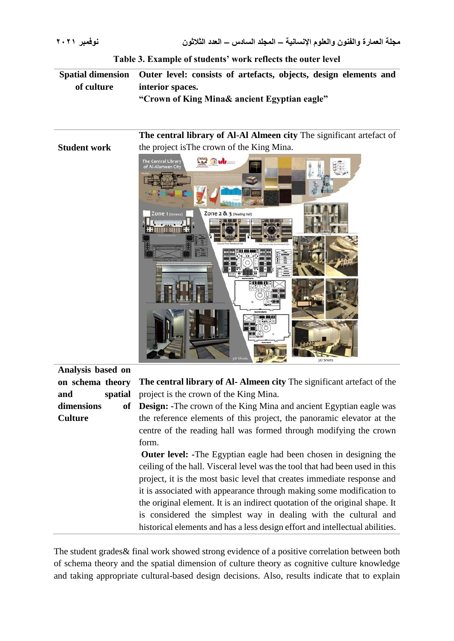**Student work** 

**Table 3. Example of students' work reflects the outer level**

**Spatial dimension of culture Outer level: consists of artefacts, objects, design elements and interior spaces. "Crown of King Mina& ancient Egyptian eagle"**

> **The central library of Al-Al Almeen city** The significant artefact of the project isThe crown of the King Mina.



**Analysis based on on schema theory and spatial dimensions of Culture**

**The central library of Al- Almeen city** The significant artefact of the project is the crown of the King Mina.

**Design:** -The crown of the King Mina and ancient Egyptian eagle was the reference elements of this project, the panoramic elevator at the centre of the reading hall was formed through modifying the crown form.

**Outer level:** -The Egyptian eagle had been chosen in designing the ceiling of the hall. Visceral level was the tool that had been used in this project, it is the most basic level that creates immediate response and it is associated with appearance through making some modification to the original element. It is an indirect quotation of the original shape. It is considered the simplest way in dealing with the cultural and historical elements and has a less design effort and intellectual abilities.

The student grades& final work showed strong evidence of a positive correlation between both of schema theory and the spatial dimension of culture theory as cognitive culture knowledge and taking appropriate cultural-based design decisions. Also, results indicate that to explain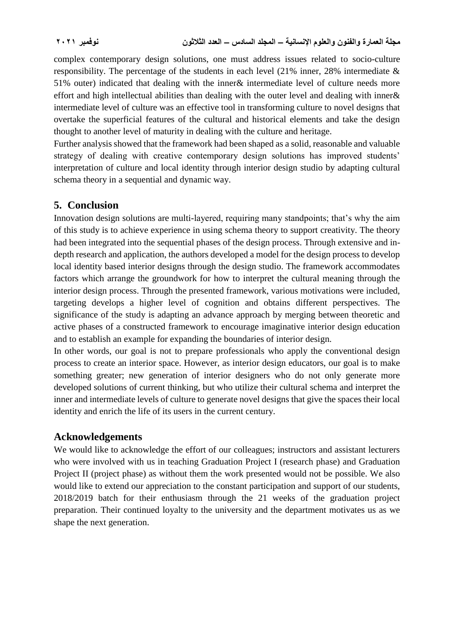complex contemporary design solutions, one must address issues related to socio-culture responsibility. The percentage of the students in each level (21% inner, 28% intermediate & 51% outer) indicated that dealing with the inner& intermediate level of culture needs more effort and high intellectual abilities than dealing with the outer level and dealing with inner& intermediate level of culture was an effective tool in transforming culture to novel designs that overtake the superficial features of the cultural and historical elements and take the design thought to another level of maturity in dealing with the culture and heritage.

Further analysis showed that the framework had been shaped as a solid, reasonable and valuable strategy of dealing with creative contemporary design solutions has improved students' interpretation of culture and local identity through interior design studio by adapting cultural schema theory in a sequential and dynamic way.

## **5. Conclusion**

Innovation design solutions are multi-layered, requiring many standpoints; that's why the aim of this study is to achieve experience in using schema theory to support creativity. The theory had been integrated into the sequential phases of the design process. Through extensive and indepth research and application, the authors developed a model for the design process to develop local identity based interior designs through the design studio. The framework accommodates factors which arrange the groundwork for how to interpret the cultural meaning through the interior design process. Through the presented framework, various motivations were included, targeting develops a higher level of cognition and obtains different perspectives. The significance of the study is adapting an advance approach by merging between theoretic and active phases of a constructed framework to encourage imaginative interior design education and to establish an example for expanding the boundaries of interior design.

In other words, our goal is not to prepare professionals who apply the conventional design process to create an interior space. However, as interior design educators, our goal is to make something greater; new generation of interior designers who do not only generate more developed solutions of current thinking, but who utilize their cultural schema and interpret the inner and intermediate levels of culture to generate novel designs that give the spaces their local identity and enrich the life of its users in the current century.

## **Acknowledgements**

We would like to acknowledge the effort of our colleagues; instructors and assistant lecturers who were involved with us in teaching Graduation Project I (research phase) and Graduation Project II (project phase) as without them the work presented would not be possible. We also would like to extend our appreciation to the constant participation and support of our students, 2018/2019 batch for their enthusiasm through the 21 weeks of the graduation project preparation. Their continued loyalty to the university and the department motivates us as we shape the next generation.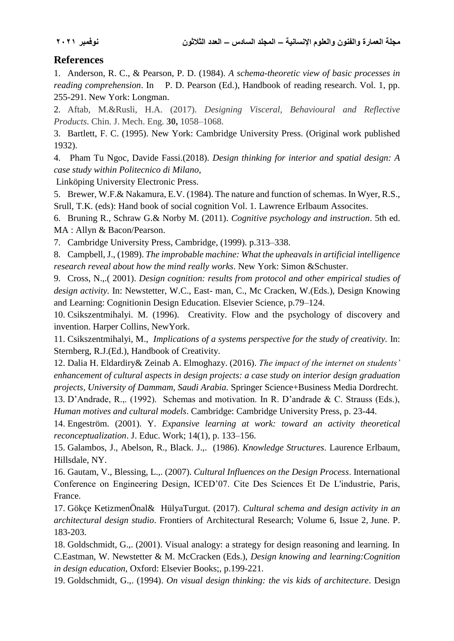# **References**

1. Anderson, R. C., & Pearson, P. D. (1984). *A schema-theoretic view of basic processes in reading comprehension*. In P. D. Pearson (Ed.), Handbook of reading research. Vol. 1, pp. 255-291. New York: Longman.

2. Aftab, M.&Rusli, H.A. (2017). *Designing Visceral, Behavioural and Reflective Products*. Chin. J. Mech. Eng*.* **30,** 1058–1068.

3. Bartlett, F. C. (1995). New York: Cambridge University Press. (Original work published 1932).

4. Pham Tu Ngoc, Davide Fassi.(2018). *Design thinking for interior and spatial design: A case study within Politecnico di Milano*,

Linköping University Electronic Press.

5. Brewer, W.F.& Nakamura, E.V. (1984). The nature and function of schemas. In Wyer, R.S., Srull, T.K. (eds): Hand book of social cognition Vol. 1. Lawrence Erlbaum Assocites.

6. Bruning R., Schraw G.& Norby M. (2011). *Cognitive psychology and instruction*. 5th ed. MA : Allyn & Bacon/Pearson.

7. Cambridge University Press, Cambridge, (1999). p.313–338.

8. Campbell, J., (1989). *The improbable machine: What the upheavals in artificial intelligence research reveal about how the mind really works*. New York: Simon &Schuster.

9. Cross, N.,.( 2001). *Design cognition: results from protocol and other empirical studies of design activity.* In: Newstetter, W.C., East- man, C., Mc Cracken, W.(Eds.), Design Knowing and Learning: Cognitionin Design Education. Elsevier Science, p.79–124.

10. Csikszentmihalyi. M. (1996). Creativity. Flow and the psychology of discovery and invention. Harper Collins, NewYork.

11. Csikszentmihalyi, M., *Implications of a systems perspective for the study of creativity.* In: Sternberg, R.J.(Ed.), Handbook of Creativity.

12. Dalia H. Eldardiry& Zeinab A. Elmoghazy. (2016). *The impact of the internet on students' enhancement of cultural aspects in design projects: a case study on interior design graduation projects, University of Dammam, Saudi Arabia.* Springer Science+Business Media Dordrecht.

13. D'Andrade, R.,. (1992). Schemas and motivation. In R. D'andrade & C. Strauss (Eds.), *Human motives and cultural models*. Cambridge: Cambridge University Press, p. 23-44.

14. Engeström. (2001). Y. *Expansive learning at work: toward an activity theoretical reconceptualization*. J. Educ. Work; 14(1), p. 133–156.

15. Galambos, J., Abelson, R., Black. J.,. (1986). *Knowledge Structures*. Laurence Erlbaum, Hillsdale, NY.

16. Gautam, V., Blessing, L.,. (2007). *Cultural Influences on the Design Process*. International Conference on Engineering Design, ICED'07. Cite Des Sciences Et De L'industrie, Paris, France.

17. Gökçe KetizmenÖnal& HülyaTurgut. (2017). *Cultural schema and design activity in an architectural design studio*. Frontiers of Architectural Research; [Volume 6, Issue 2,](https://www.sciencedirect.com/science/journal/20952635/6/2) June. P. 183-203.

18. Goldschmidt, G.,. (2001). Visual analogy: a strategy for design reasoning and learning. In C.Eastman, W. Newstetter & M. McCracken (Eds.), *Design knowing and learning:Cognition in design education*, Oxford: Elsevier Books;, p.199-221.

19. Goldschmidt, G.,. (1994). *On visual design thinking: the vis kids of architecture*. Design